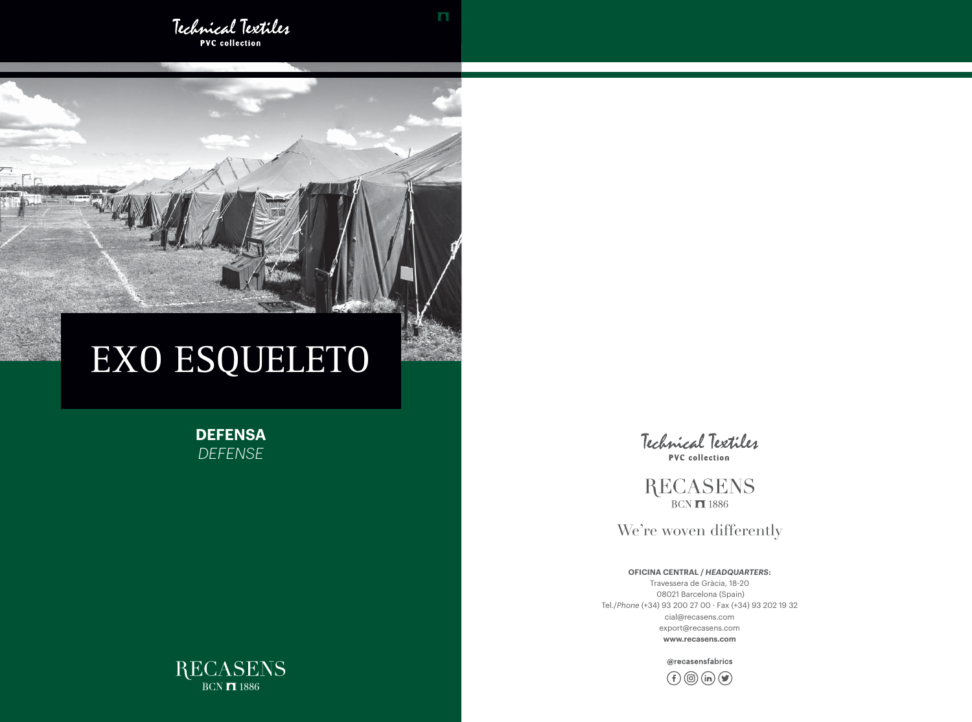

**PVC** collection



**DEFENSA** *DEFENSE*



**RECASENS**  $BCN$   $\overline{1}$  1886

We're woven differently

# EXO ESQUELETO

**OFICINA CENTRAL /** *HEADQUARTERS***:**

Travessera de Gràcia, 18-20 08021 Barcelona (Spain) Tel./*Phone* (+34) 93 200 27 00 · Fax (+34) 93 202 19 32 cial@recasens.com export@recasens.com **www.recasens.com**

@recasensfabrics